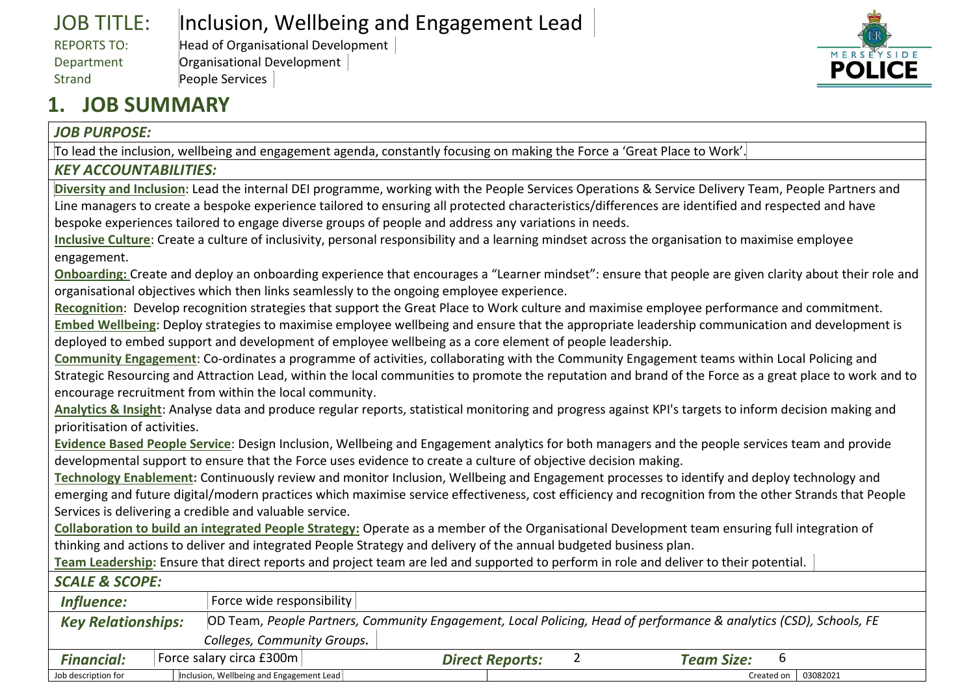| <b>JOB TITLE:</b> | Inclusion, Wellbeing and Engagement Lead |
|-------------------|------------------------------------------|
| REPORTS TO:       | Head of Organisational Development       |
| Department        | Organisational Development               |
| Strand            | People Services                          |



### **1. JOB SUMMARY**

#### *JOB PURPOSE:*

To lead the inclusion, wellbeing and engagement agenda, constantly focusing on making the Force a 'Great Place to Work'.

#### *KEY ACCOUNTABILITIES:*

**Diversity and Inclusion**: Lead the internal DEI programme, working with the People Services Operations & Service Delivery Team, People Partners and Line managers to create a bespoke experience tailored to ensuring all protected characteristics/differences are identified and respected and have bespoke experiences tailored to engage diverse groups of people and address any variations in needs.

**Inclusive Culture**: Create a culture of inclusivity, personal responsibility and a learning mindset across the organisation to maximise employee engagement.

**Onboarding:** Create and deploy an onboarding experience that encourages a "Learner mindset": ensure that people are given clarity about their role and organisational objectives which then links seamlessly to the ongoing employee experience.

**Recognition**: Develop recognition strategies that support the Great Place to Work culture and maximise employee performance and commitment.

**Embed Wellbeing**: Deploy strategies to maximise employee wellbeing and ensure that the appropriate leadership communication and development is deployed to embed support and development of employee wellbeing as a core element of people leadership.

**Community Engagement**: Co-ordinates a programme of activities, collaborating with the Community Engagement teams within Local Policing and Strategic Resourcing and Attraction Lead, within the local communities to promote the reputation and brand of the Force as a great place to work and to encourage recruitment from within the local community.

**Analytics & Insight**: Analyse data and produce regular reports, statistical monitoring and progress against KPI's targets to inform decision making and prioritisation of activities.

**Evidence Based People Service**: Design Inclusion, Wellbeing and Engagement analytics for both managers and the people services team and provide developmental support to ensure that the Force uses evidence to create a culture of objective decision making.

**Technology Enablement:** Continuously review and monitor Inclusion, Wellbeing and Engagement processes to identify and deploy technology and emerging and future digital/modern practices which maximise service effectiveness, cost efficiency and recognition from the other Strands that People Services is delivering a credible and valuable service.

**Collaboration to build an integrated People Strategy:** Operate as a member of the Organisational Development team ensuring full integration of thinking and actions to deliver and integrated People Strategy and delivery of the annual budgeted business plan.

**Team Leadership:** Ensure that direct reports and project team are led and supported to perform in role and deliver to their potential.

#### *SCALE & SCOPE:*

| <b>Influence:</b>                                                                                                                               |  | Force wide responsibility                |                        |  |  |                        |  |
|-------------------------------------------------------------------------------------------------------------------------------------------------|--|------------------------------------------|------------------------|--|--|------------------------|--|
| OD Team, People Partners, Community Engagement, Local Policing, Head of performance & analytics (CSD), Schools, FE<br><b>Key Relationships:</b> |  |                                          |                        |  |  |                        |  |
| Colleges, Community Groups.                                                                                                                     |  |                                          |                        |  |  |                        |  |
| <b>Financial:</b>                                                                                                                               |  | Force salary circa £300m                 | <b>Direct Reports:</b> |  |  | <b>Team Size:</b><br>b |  |
| Job description for                                                                                                                             |  | Inclusion, Wellbeing and Engagement Lead |                        |  |  | Created on 03082021    |  |